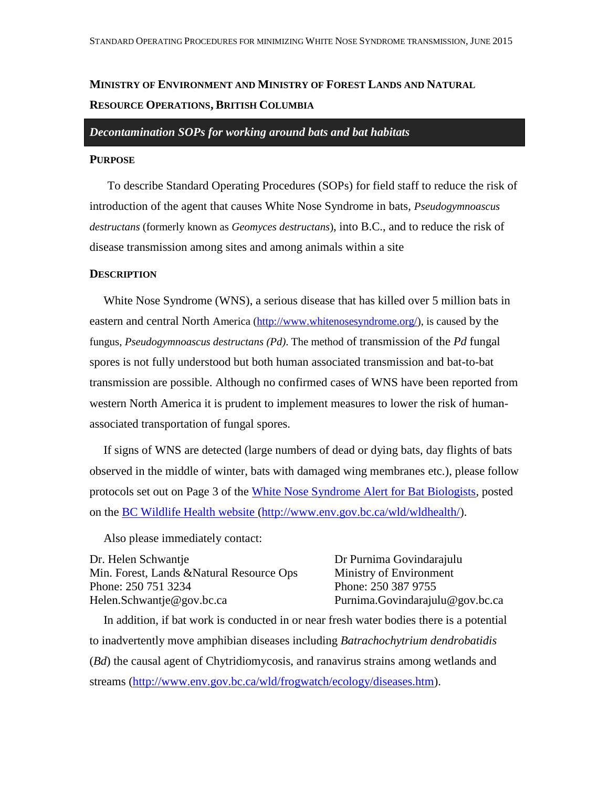# **MINISTRY OF ENVIRONMENT AND MINISTRY OF FOREST LANDS AND NATURAL RESOURCE OPERATIONS, BRITISH COLUMBIA**

## *Decontamination SOPs for working around bats and bat habitats*

# **PURPOSE**

To describe Standard Operating Procedures (SOPs) for field staff to reduce the risk of introduction of the agent that causes White Nose Syndrome in bats, *Pseudogymnoascus destructans* (formerly known as *Geomyces destructans*), into B.C., and to reduce the risk of disease transmission among sites and among animals within a site

### **DESCRIPTION**

White Nose Syndrome (WNS), a serious disease that has killed over 5 million bats in eastern and central North America [\(http://www.whitenosesyndrome.org/\)](http://www.whitenosesyndrome.org/), is caused by the fungus, *Pseudogymnoascus destructans (Pd)*. The method of transmission of the *Pd* fungal spores is not fully understood but both human associated transmission and bat-to-bat transmission are possible. Although no confirmed cases of WNS have been reported from western North America it is prudent to implement measures to lower the risk of humanassociated transportation of fungal spores.

If signs of WNS are detected (large numbers of dead or dying bats, day flights of bats observed in the middle of winter, bats with damaged wing membranes etc.), please follow protocols set out on Page 3 of the [White Nose Syndrome Alert for Bat Biologists,](http://www.env.gov.bc.ca/wld/documents/wldhealth/WNS_fact_sheet_BC_%20Researchers%20July%202011.pdf) posted on the [BC Wildlife Health website](http://www.env.gov.bc.ca/wld/wldhealth/) [\(http://www.env.gov.bc.ca/wld/wldhealth/\)](http://www.env.gov.bc.ca/wld/wldhealth/).

Also please immediately contact:

Dr. Helen Schwantje Min. Forest, Lands &Natural Resource Ops Phone: 250 751 3234 [Helen.Schwantje@gov.bc.ca](mailto:Helen.Schwantje@gov.bc.ca)

Dr Purnima Govindarajulu Ministry of Environment Phone: 250 387 9755 Purnima.Govindarajulu@gov.bc.ca

In addition, if bat work is conducted in or near fresh water bodies there is a potential to inadvertently move amphibian diseases including *Batrachochytrium dendrobatidis*  (*Bd*) the causal agent of Chytridiomycosis, and ranavirus strains among wetlands and streams [\(http://www.env.gov.bc.ca/wld/frogwatch/ecology/diseases.htm\)](http://www.env.gov.bc.ca/wld/frogwatch/ecology/diseases.htm).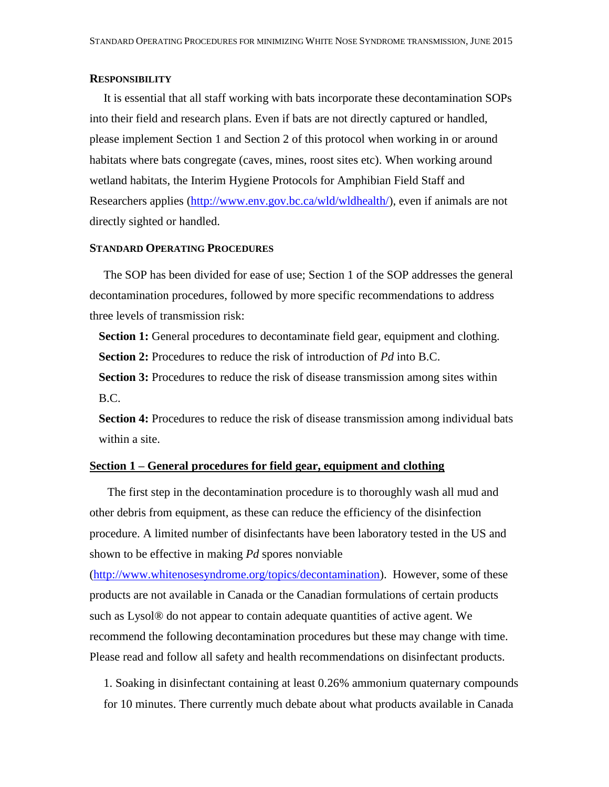# **RESPONSIBILITY**

It is essential that all staff working with bats incorporate these decontamination SOPs into their field and research plans. Even if bats are not directly captured or handled, please implement Section 1 and Section 2 of this protocol when working in or around habitats where bats congregate (caves, mines, roost sites etc). When working around wetland habitats, the Interim Hygiene Protocols for Amphibian Field Staff and Researchers applies [\(http://www.env.gov.bc.ca/wld/wldhealth/\)](http://www.env.gov.bc.ca/wld/wldhealth/), even if animals are not directly sighted or handled.

# **STANDARD OPERATING PROCEDURES**

The SOP has been divided for ease of use; Section 1 of the SOP addresses the general decontamination procedures, followed by more specific recommendations to address three levels of transmission risk:

**Section 1:** General procedures to decontaminate field gear, equipment and clothing. **Section 2:** Procedures to reduce the risk of introduction of *Pd* into B.C.

**Section 3:** Procedures to reduce the risk of disease transmission among sites within B.C.

**Section 4:** Procedures to reduce the risk of disease transmission among individual bats within a site.

## **Section 1 – General procedures for field gear, equipment and clothing**

The first step in the decontamination procedure is to thoroughly wash all mud and other debris from equipment, as these can reduce the efficiency of the disinfection procedure. A limited number of disinfectants have been laboratory tested in the US and shown to be effective in making *Pd* spores nonviable

[\(http://www.whitenosesyndrome.org/topics/decontamination\)](http://www.whitenosesyndrome.org/topics/decontamination). However, some of these products are not available in Canada or the Canadian formulations of certain products such as Lysol® do not appear to contain adequate quantities of active agent. We recommend the following decontamination procedures but these may change with time. Please read and follow all safety and health recommendations on disinfectant products.

1. Soaking in disinfectant containing at least 0.26% ammonium quaternary compounds for 10 minutes. There currently much debate about what products available in Canada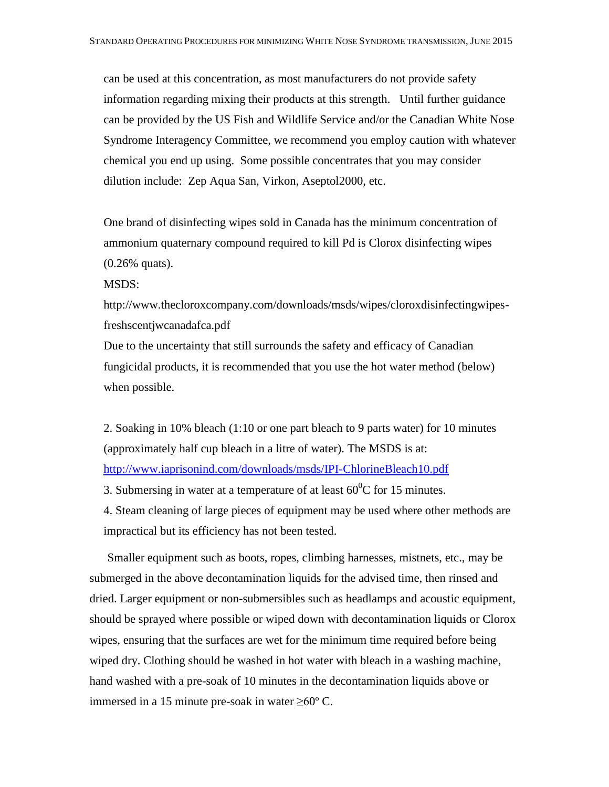can be used at this concentration, as most manufacturers do not provide safety information regarding mixing their products at this strength. Until further guidance can be provided by the US Fish and Wildlife Service and/or the Canadian White Nose Syndrome Interagency Committee, we recommend you employ caution with whatever chemical you end up using. Some possible concentrates that you may consider dilution include: Zep Aqua San, Virkon, Aseptol2000, etc.

One brand of disinfecting wipes sold in Canada has the minimum concentration of ammonium quaternary compound required to kill Pd is Clorox disinfecting wipes (0.26% quats).

MSDS:

http://www.thecloroxcompany.com/downloads/msds/wipes/cloroxdisinfectingwipesfreshscentjwcanadafca.pdf

Due to the uncertainty that still surrounds the safety and efficacy of Canadian fungicidal products, it is recommended that you use the hot water method (below) when possible.

2. Soaking in 10% bleach (1:10 or one part bleach to 9 parts water) for 10 minutes (approximately half cup bleach in a litre of water). The MSDS is at: <http://www.iaprisonind.com/downloads/msds/IPI-ChlorineBleach10.pdf>

3. Submersing in water at a temperature of at least  $60^{\circ}$ C for 15 minutes.

4. Steam cleaning of large pieces of equipment may be used where other methods are impractical but its efficiency has not been tested.

Smaller equipment such as boots, ropes, climbing harnesses, mistnets, etc., may be submerged in the above decontamination liquids for the advised time, then rinsed and dried. Larger equipment or non-submersibles such as headlamps and acoustic equipment, should be sprayed where possible or wiped down with decontamination liquids or Clorox wipes, ensuring that the surfaces are wet for the minimum time required before being wiped dry. Clothing should be washed in hot water with bleach in a washing machine, hand washed with a pre-soak of 10 minutes in the decontamination liquids above or immersed in a 15 minute pre-soak in water  $≥60^{\circ}$  C.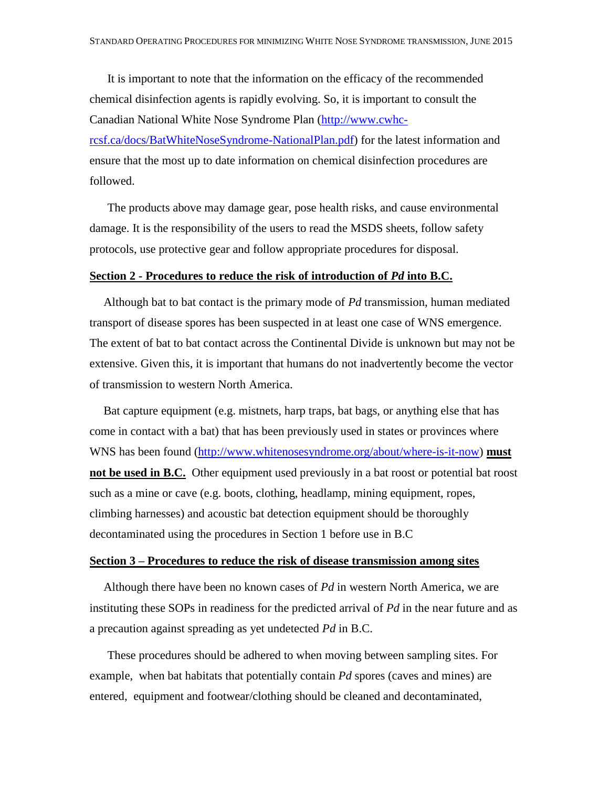It is important to note that the information on the efficacy of the recommended chemical disinfection agents is rapidly evolving. So, it is important to consult the Canadian National White Nose Syndrome Plan [\(http://www.cwhc](http://www.cwhc-rcsf.ca/docs/BatWhiteNoseSyndrome-NationalPlan.pdf)[rcsf.ca/docs/BatWhiteNoseSyndrome-NationalPlan.pdf\)](http://www.cwhc-rcsf.ca/docs/BatWhiteNoseSyndrome-NationalPlan.pdf) for the latest information and ensure that the most up to date information on chemical disinfection procedures are followed.

The products above may damage gear, pose health risks, and cause environmental damage. It is the responsibility of the users to read the MSDS sheets, follow safety protocols, use protective gear and follow appropriate procedures for disposal.

# **Section 2 - Procedures to reduce the risk of introduction of** *Pd* **into B.C.**

Although bat to bat contact is the primary mode of *Pd* transmission, human mediated transport of disease spores has been suspected in at least one case of WNS emergence. The extent of bat to bat contact across the Continental Divide is unknown but may not be extensive. Given this, it is important that humans do not inadvertently become the vector of transmission to western North America.

Bat capture equipment (e.g. mistnets, harp traps, bat bags, or anything else that has come in contact with a bat) that has been previously used in states or provinces where WNS has been found [\(http://www.whitenosesyndrome.org/about/where-is-it-now\)](http://www.whitenosesyndrome.org/about/where-is-it-now) **must not be used in B.C.** Other equipment used previously in a bat roost or potential bat roost such as a mine or cave (e.g. boots, clothing, headlamp, mining equipment, ropes, climbing harnesses) and acoustic bat detection equipment should be thoroughly decontaminated using the procedures in Section 1 before use in B.C

#### **Section 3 – Procedures to reduce the risk of disease transmission among sites**

Although there have been no known cases of *Pd* in western North America, we are instituting these SOPs in readiness for the predicted arrival of *Pd* in the near future and as a precaution against spreading as yet undetected *Pd* in B.C.

These procedures should be adhered to when moving between sampling sites. For example, when bat habitats that potentially contain *Pd* spores (caves and mines) are entered, equipment and footwear/clothing should be cleaned and decontaminated,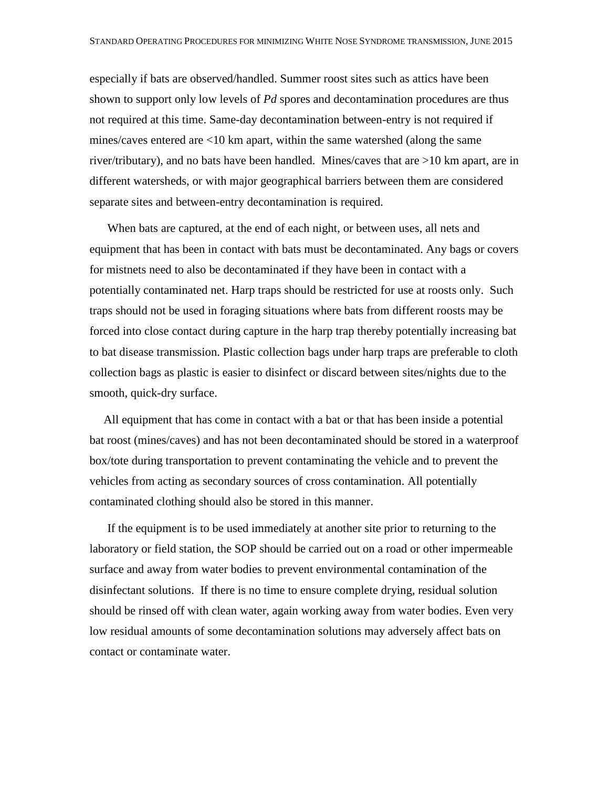especially if bats are observed/handled. Summer roost sites such as attics have been shown to support only low levels of *Pd* spores and decontamination procedures are thus not required at this time. Same-day decontamination between-entry is not required if mines/caves entered are <10 km apart, within the same watershed (along the same river/tributary), and no bats have been handled. Mines/caves that are >10 km apart, are in different watersheds, or with major geographical barriers between them are considered separate sites and between-entry decontamination is required.

When bats are captured, at the end of each night, or between uses, all nets and equipment that has been in contact with bats must be decontaminated. Any bags or covers for mistnets need to also be decontaminated if they have been in contact with a potentially contaminated net. Harp traps should be restricted for use at roosts only. Such traps should not be used in foraging situations where bats from different roosts may be forced into close contact during capture in the harp trap thereby potentially increasing bat to bat disease transmission. Plastic collection bags under harp traps are preferable to cloth collection bags as plastic is easier to disinfect or discard between sites/nights due to the smooth, quick-dry surface.

All equipment that has come in contact with a bat or that has been inside a potential bat roost (mines/caves) and has not been decontaminated should be stored in a waterproof box/tote during transportation to prevent contaminating the vehicle and to prevent the vehicles from acting as secondary sources of cross contamination. All potentially contaminated clothing should also be stored in this manner.

If the equipment is to be used immediately at another site prior to returning to the laboratory or field station, the SOP should be carried out on a road or other impermeable surface and away from water bodies to prevent environmental contamination of the disinfectant solutions. If there is no time to ensure complete drying, residual solution should be rinsed off with clean water, again working away from water bodies. Even very low residual amounts of some decontamination solutions may adversely affect bats on contact or contaminate water.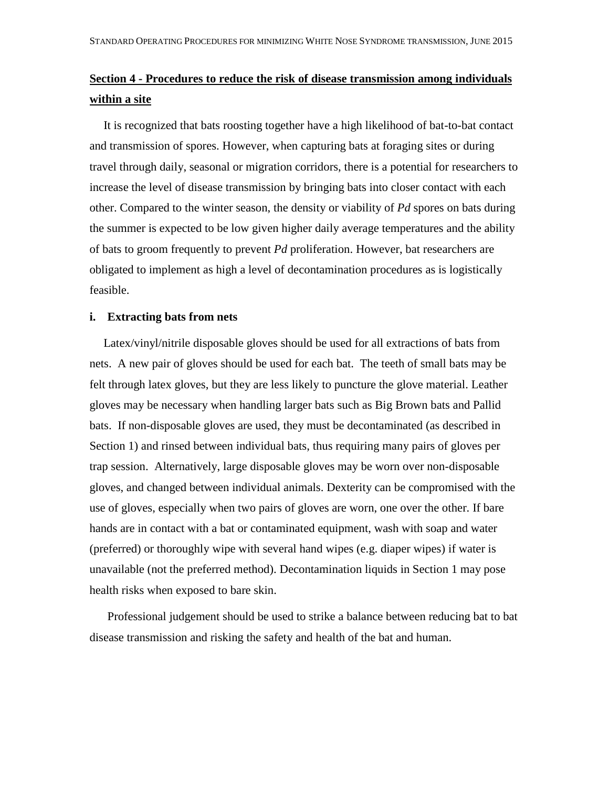# **Section 4 - Procedures to reduce the risk of disease transmission among individuals within a site**

It is recognized that bats roosting together have a high likelihood of bat-to-bat contact and transmission of spores. However, when capturing bats at foraging sites or during travel through daily, seasonal or migration corridors, there is a potential for researchers to increase the level of disease transmission by bringing bats into closer contact with each other. Compared to the winter season, the density or viability of *Pd* spores on bats during the summer is expected to be low given higher daily average temperatures and the ability of bats to groom frequently to prevent *Pd* proliferation. However, bat researchers are obligated to implement as high a level of decontamination procedures as is logistically feasible.

## **i. Extracting bats from nets**

Latex/vinyl/nitrile disposable gloves should be used for all extractions of bats from nets. A new pair of gloves should be used for each bat. The teeth of small bats may be felt through latex gloves, but they are less likely to puncture the glove material. Leather gloves may be necessary when handling larger bats such as Big Brown bats and Pallid bats. If non-disposable gloves are used, they must be decontaminated (as described in Section 1) and rinsed between individual bats, thus requiring many pairs of gloves per trap session. Alternatively, large disposable gloves may be worn over non-disposable gloves, and changed between individual animals. Dexterity can be compromised with the use of gloves, especially when two pairs of gloves are worn, one over the other. If bare hands are in contact with a bat or contaminated equipment, wash with soap and water (preferred) or thoroughly wipe with several hand wipes (e.g. diaper wipes) if water is unavailable (not the preferred method). Decontamination liquids in Section 1 may pose health risks when exposed to bare skin.

Professional judgement should be used to strike a balance between reducing bat to bat disease transmission and risking the safety and health of the bat and human.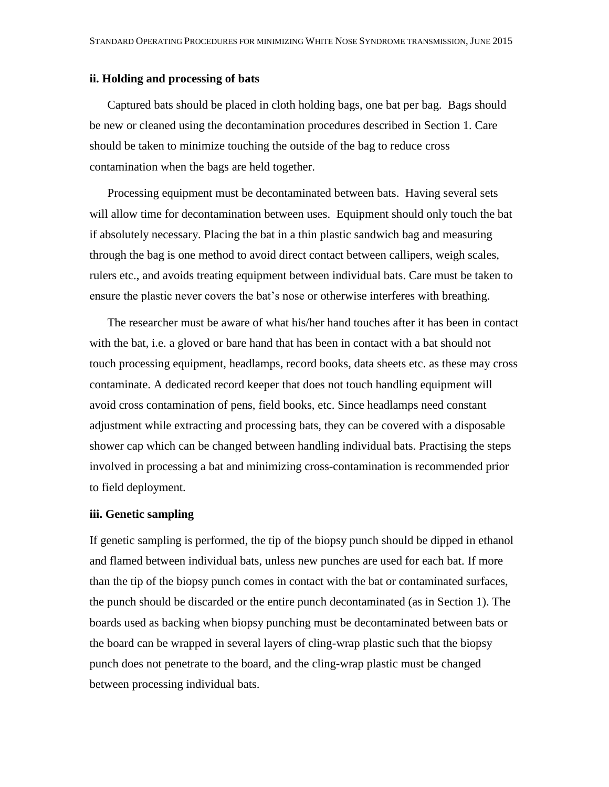## **ii. Holding and processing of bats**

Captured bats should be placed in cloth holding bags, one bat per bag. Bags should be new or cleaned using the decontamination procedures described in Section 1. Care should be taken to minimize touching the outside of the bag to reduce cross contamination when the bags are held together.

Processing equipment must be decontaminated between bats. Having several sets will allow time for decontamination between uses. Equipment should only touch the bat if absolutely necessary. Placing the bat in a thin plastic sandwich bag and measuring through the bag is one method to avoid direct contact between callipers, weigh scales, rulers etc., and avoids treating equipment between individual bats. Care must be taken to ensure the plastic never covers the bat's nose or otherwise interferes with breathing.

The researcher must be aware of what his/her hand touches after it has been in contact with the bat, i.e. a gloved or bare hand that has been in contact with a bat should not touch processing equipment, headlamps, record books, data sheets etc. as these may cross contaminate. A dedicated record keeper that does not touch handling equipment will avoid cross contamination of pens, field books, etc. Since headlamps need constant adjustment while extracting and processing bats, they can be covered with a disposable shower cap which can be changed between handling individual bats. Practising the steps involved in processing a bat and minimizing cross-contamination is recommended prior to field deployment.

### **iii. Genetic sampling**

If genetic sampling is performed, the tip of the biopsy punch should be dipped in ethanol and flamed between individual bats, unless new punches are used for each bat. If more than the tip of the biopsy punch comes in contact with the bat or contaminated surfaces, the punch should be discarded or the entire punch decontaminated (as in Section 1). The boards used as backing when biopsy punching must be decontaminated between bats or the board can be wrapped in several layers of cling-wrap plastic such that the biopsy punch does not penetrate to the board, and the cling-wrap plastic must be changed between processing individual bats.